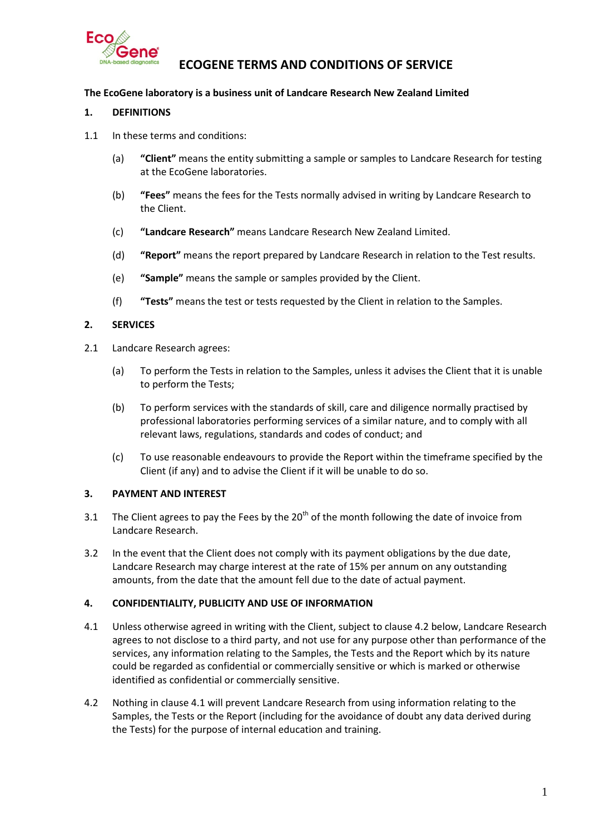

# **ECOGENE TERMS AND CONDITIONS OF SERVICE**

### **The EcoGene laboratory is a business unit of Landcare Research New Zealand Limited**

### **1. DEFINITIONS**

- 1.1 In these terms and conditions:
	- (a) **"Client"** means the entity submitting a sample or samples to Landcare Research for testing at the EcoGene laboratories.
	- (b) **"Fees"** means the fees for the Tests normally advised in writing by Landcare Research to the Client.
	- (c) **"Landcare Research"** means Landcare Research New Zealand Limited.
	- (d) **"Report"** means the report prepared by Landcare Research in relation to the Test results.
	- (e) **"Sample"** means the sample or samples provided by the Client.
	- (f) **"Tests"** means the test or tests requested by the Client in relation to the Samples.

#### **2. SERVICES**

- 2.1 Landcare Research agrees:
	- (a) To perform the Tests in relation to the Samples, unless it advises the Client that it is unable to perform the Tests;
	- (b) To perform services with the standards of skill, care and diligence normally practised by professional laboratories performing services of a similar nature, and to comply with all relevant laws, regulations, standards and codes of conduct; and
	- (c) To use reasonable endeavours to provide the Report within the timeframe specified by the Client (if any) and to advise the Client if it will be unable to do so.

### **3. PAYMENT AND INTEREST**

- 3.1 The Client agrees to pay the Fees by the  $20<sup>th</sup>$  of the month following the date of invoice from Landcare Research.
- 3.2 In the event that the Client does not comply with its payment obligations by the due date, Landcare Research may charge interest at the rate of 15% per annum on any outstanding amounts, from the date that the amount fell due to the date of actual payment.

### **4. CONFIDENTIALITY, PUBLICITY AND USE OF INFORMATION**

- <span id="page-0-1"></span>4.1 Unless otherwise agreed in writing with the Client, subject to clause [4.2](#page-0-0) below, Landcare Research agrees to not disclose to a third party, and not use for any purpose other than performance of the services, any information relating to the Samples, the Tests and the Report which by its nature could be regarded as confidential or commercially sensitive or which is marked or otherwise identified as confidential or commercially sensitive.
- <span id="page-0-0"></span>4.2 Nothing in clause [4.1](#page-0-1) will prevent Landcare Research from using information relating to the Samples, the Tests or the Report (including for the avoidance of doubt any data derived during the Tests) for the purpose of internal education and training.